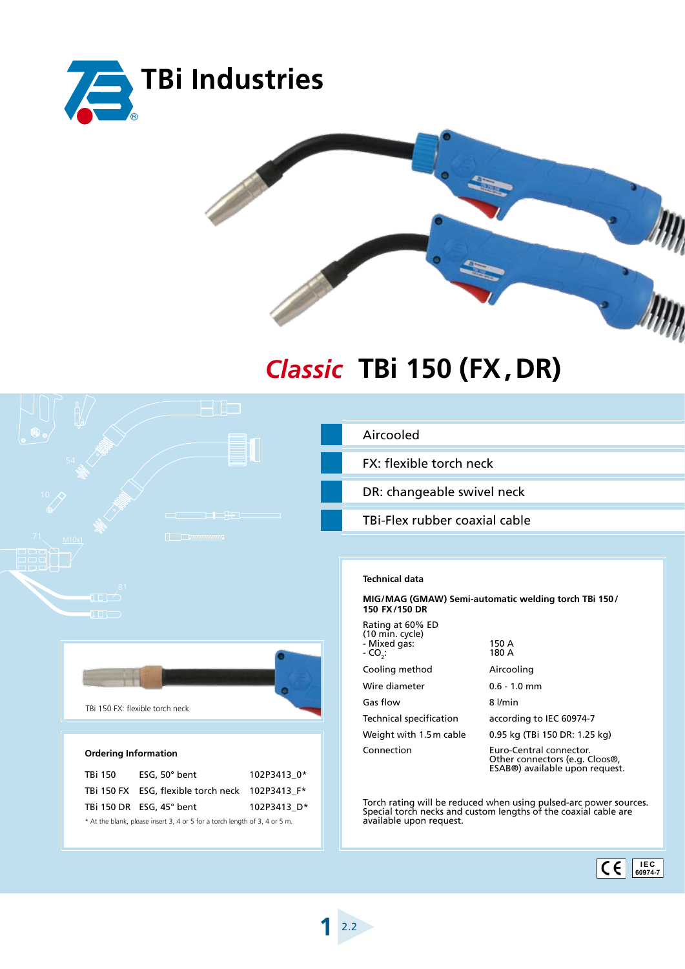



## **TBi 150 (FX,DR)** *Classic*

|                                                                                                                                                                                                                                      | Aircooled                                                                                                                                                       |
|--------------------------------------------------------------------------------------------------------------------------------------------------------------------------------------------------------------------------------------|-----------------------------------------------------------------------------------------------------------------------------------------------------------------|
|                                                                                                                                                                                                                                      | FX: flexible torch neck                                                                                                                                         |
|                                                                                                                                                                                                                                      | DR: changeable swivel neck                                                                                                                                      |
| <u>the state of the state of the state of the state of the state of the state of the state of the state of the state of the state of the state of the state of the state of the state of the state of the state of the state of </u> | TBi-Flex rubber coaxial cable                                                                                                                                   |
| $\Box$<br>M10x1<br>a mata                                                                                                                                                                                                            |                                                                                                                                                                 |
| 30 C<br>nne<br>81                                                                                                                                                                                                                    | <b>Technical data</b>                                                                                                                                           |
| $\Box$<br>$\Box$                                                                                                                                                                                                                     | MIG/MAG (GMAW) Semi-automatic welding torch TBi 150/<br>150 FX/150 DR                                                                                           |
|                                                                                                                                                                                                                                      | Rating at 60% ED<br>$(10 \text{ min. cycle})$<br>150 A<br>- Mixed gas:<br>180 A<br>$-CO2$ :                                                                     |
|                                                                                                                                                                                                                                      | Cooling method<br>Aircooling                                                                                                                                    |
|                                                                                                                                                                                                                                      | Wire diameter<br>$0.6 - 1.0$ mm                                                                                                                                 |
| TBi 150 FX: flexible torch neck                                                                                                                                                                                                      | Gas flow<br>8 l/min                                                                                                                                             |
|                                                                                                                                                                                                                                      | <b>Technical specification</b><br>according to IEC 60974-7                                                                                                      |
|                                                                                                                                                                                                                                      | Weight with 1.5 m cable<br>0.95 kg (TBi 150 DR: 1.25 kg)                                                                                                        |
| <b>Ordering Information</b>                                                                                                                                                                                                          | Connection<br>Euro-Central connector.<br>Other connectors (e.g. Cloos®,<br>ESAB®) available upon request.                                                       |
| ESG, 50° bent<br>TBi 150<br>102P3413 0*                                                                                                                                                                                              |                                                                                                                                                                 |
| TBi 150 FX ESG, flexible torch neck 102P3413 F*                                                                                                                                                                                      |                                                                                                                                                                 |
| TBi 150 DR ESG, 45° bent<br>102P3413 D*<br>* At the blank, please insert 3, 4 or 5 for a torch length of 3, 4 or 5 m.                                                                                                                | Torch rating will be reduced when using pulsed-arc power sources.<br>Special torch necks and custom lengths of the coaxial cable are<br>available upon request. |
|                                                                                                                                                                                                                                      |                                                                                                                                                                 |
|                                                                                                                                                                                                                                      | <b>IEC</b><br>CE<br>60974-7                                                                                                                                     |